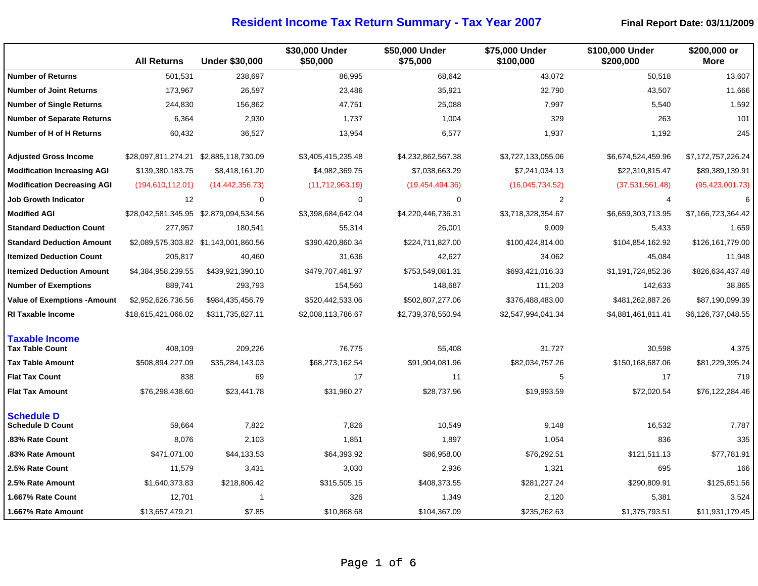|                                                 | <b>All Returns</b>                     | <b>Under \$30,000</b>   | \$30,000 Under<br>\$50,000 | \$50,000 Under<br>\$75,000 | \$75,000 Under<br>\$100,000 | \$100,000 Under<br>\$200,000 | \$200,000 or<br>More |
|-------------------------------------------------|----------------------------------------|-------------------------|----------------------------|----------------------------|-----------------------------|------------------------------|----------------------|
| <b>Number of Returns</b>                        | 501,531                                | 238,697                 | 86,995                     | 68,642                     | 43,072                      | 50,518                       | 13,607               |
| <b>Number of Joint Returns</b>                  | 173,967                                | 26,597                  | 23,486                     | 35,921                     | 32,790                      | 43,507                       | 11,666               |
| <b>Number of Single Returns</b>                 | 244,830                                | 156,862                 | 47,751                     | 25,088                     | 7,997                       | 5,540                        | 1,592                |
| <b>Number of Separate Returns</b>               | 6,364                                  | 2,930                   | 1,737                      | 1,004                      | 329                         | 263                          | 101                  |
| Number of H of H Returns                        | 60,432                                 | 36,527                  | 13,954                     | 6,577                      | 1,937                       | 1,192                        | 245                  |
| <b>Adjusted Gross Income</b>                    |                                        |                         | \$3,405,415,235.48         | \$4,232,862,567.38         | \$3,727,133,055.06          | \$6,674,524,459.96           | \$7,172,757,226.24   |
| <b>Modification Increasing AGI</b>              | \$139,380,183.75                       | \$8,418,161.20          | \$4,982,369.75             | \$7,038,663.29             | \$7,241,034.13              | \$22,310,815.47              | \$89,389,139.91      |
| <b>Modification Decreasing AGI</b>              | (194, 610, 112.01)                     | (14, 442, 356.73)       | (11,712,963.19)            | (19, 454, 494.36)          | (16,045,734.52)             | (37,531,561.48)              | (95, 423, 001.73)    |
| <b>Job Growth Indicator</b>                     | 12                                     | $\mathbf 0$             | $\mathbf 0$                | $\pmb{0}$                  | $\overline{2}$              | 4                            | 6                    |
| <b>Modified AGI</b>                             | \$28,042,581,345.95 \$2,879,094,534.56 |                         | \$3,398,684,642.04         | \$4,220,446,736.31         | \$3,718,328,354.67          | \$6,659,303,713.95           | \$7,166,723,364.42   |
| <b>Standard Deduction Count</b>                 | 277,957                                | 180,541                 | 55,314                     | 26,001                     | 9,009                       | 5,433                        | 1,659                |
| <b>Standard Deduction Amount</b>                |                                        |                         | \$390,420,860.34           | \$224,711,827.00           | \$100,424,814.00            | \$104,854,162.92             | \$126,161,779.00     |
| <b>Itemized Deduction Count</b>                 | 205,817                                | 40,460                  | 31,636                     | 42,627                     | 34,062                      | 45,084                       | 11,948               |
| <b>Itemized Deduction Amount</b>                | \$4,384,958,239.55                     | \$439,921,390.10        | \$479,707,461.97           | \$753,549,081.31           | \$693,421,016.33            | \$1,191,724,852.36           | \$826,634,437.48     |
| <b>Number of Exemptions</b>                     | 889,741                                | 293,793                 | 154,560                    | 148,687                    | 111,203                     | 142,633                      | 38,865               |
| <b>Value of Exemptions - Amount</b>             | \$2,952,626,736.56                     | \$984,435,456.79        | \$520,442,533.06           | \$502,807,277.06           | \$376,488,483.00            | \$481,262,887.26             | \$87,190,099.39      |
| <b>RI Taxable Income</b>                        | \$18,615,421,066.02                    | \$311,735,827.11        | \$2,008,113,786.67         | \$2,739,378,550.94         | \$2,547,994,041.34          | \$4,881,461,811.41           | \$6,126,737,048.55   |
| <b>Taxable Income</b><br><b>Tax Table Count</b> | 408,109                                | 209,226                 | 76,775                     | 55,408                     | 31,727                      | 30,598                       | 4,375                |
| <b>Tax Table Amount</b>                         | \$508,894,227.09                       | \$35,284,143.03         | \$68,273,162.54            | \$91,904,081.96            | \$82,034,757.26             | \$150,168,687.06             | \$81,229,395.24      |
| <b>Flat Tax Count</b>                           | 838                                    | 69                      | 17                         | 11                         | 5                           | 17                           | 719                  |
| <b>Flat Tax Amount</b>                          | \$76,298,438.60                        | \$23,441.78             | \$31,960.27                | \$28,737.96                | \$19,993.59                 | \$72,020.54                  | \$76,122,284.46      |
| <b>Schedule D</b><br><b>Schedule D Count</b>    | 59,664                                 | 7,822                   | 7,826                      | 10,549                     | 9,148                       | 16,532                       | 7,787                |
| 83% Rate Count                                  | 8,076                                  | 2,103                   | 1,851                      | 1,897                      | 1,054                       | 836                          | 335                  |
| .83% Rate Amount                                | \$471,071.00                           | \$44,133.53             | \$64,393.92                | \$86,958.00                | \$76,292.51                 | \$121,511.13                 | \$77,781.91          |
| 2.5% Rate Count                                 | 11,579                                 | 3,431                   | 3,030                      | 2,936                      | 1,321                       | 695                          | 166                  |
| 2.5% Rate Amount                                | \$1,640,373.83                         | \$218,806.42            | \$315,505.15               | \$408,373.55               | \$281,227.24                | \$290,809.91                 | \$125,651.56         |
| 1.667% Rate Count                               | 12,701                                 | $\overline{\mathbf{1}}$ | 326                        | 1,349                      | 2,120                       | 5,381                        | 3,524                |
| 1.667% Rate Amount                              | \$13,657,479.21                        | \$7.85                  | \$10,868.68                | \$104,367.09               | \$235,262.63                | \$1,375,793.51               | \$11,931,179.45      |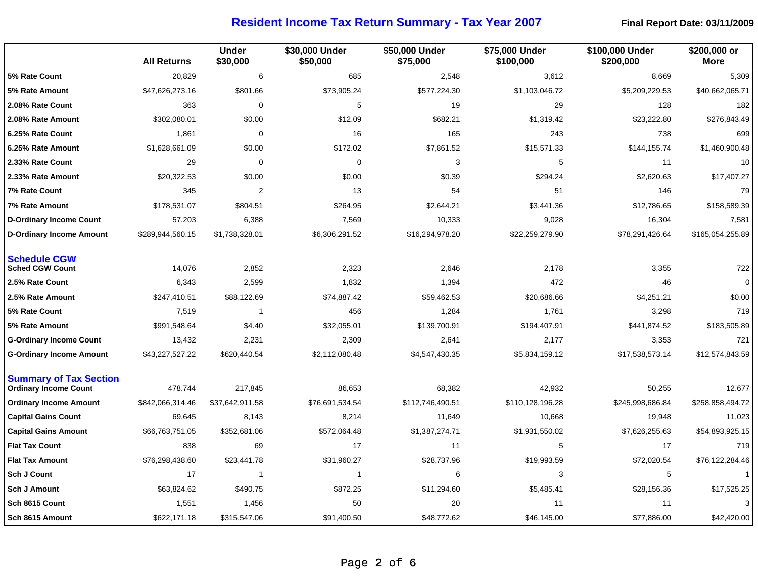|                                                               | <b>All Returns</b> | <b>Under</b><br>\$30,000 | \$30,000 Under<br>\$50,000 | \$50,000 Under<br>\$75,000 | \$75,000 Under<br>\$100,000 | \$100,000 Under<br>\$200,000 | \$200,000 or<br><b>More</b> |
|---------------------------------------------------------------|--------------------|--------------------------|----------------------------|----------------------------|-----------------------------|------------------------------|-----------------------------|
| 5% Rate Count                                                 | 20,829             | 6                        | 685                        | 2,548                      | 3,612                       | 8,669                        | 5,309                       |
| 5% Rate Amount                                                | \$47,626,273.16    | \$801.66                 | \$73,905.24                | \$577,224.30               | \$1,103,046.72              | \$5,209,229.53               | \$40,662,065.71             |
| 2.08% Rate Count                                              | 363                | 0                        | 5                          | 19                         | 29                          | 128                          | 182                         |
| 2.08% Rate Amount                                             | \$302,080.01       | \$0.00                   | \$12.09                    | \$682.21                   | \$1,319.42                  | \$23,222.80                  | \$276,843.49                |
| 6.25% Rate Count                                              | 1,861              | 0                        | 16                         | 165                        | 243                         | 738                          | 699                         |
| 6.25% Rate Amount                                             | \$1,628,661.09     | \$0.00                   | \$172.02                   | \$7,861.52                 | \$15,571.33                 | \$144,155.74                 | \$1,460,900.48              |
| 2.33% Rate Count                                              | 29                 | 0                        | 0                          | 3                          | 5                           | 11                           | 10                          |
| 2.33% Rate Amount                                             | \$20,322.53        | \$0.00                   | \$0.00                     | \$0.39                     | \$294.24                    | \$2,620.63                   | \$17,407.27                 |
| 7% Rate Count                                                 | 345                | $\overline{2}$           | 13                         | 54                         | 51                          | 146                          | 79                          |
| 7% Rate Amount                                                | \$178,531.07       | \$804.51                 | \$264.95                   | \$2,644.21                 | \$3,441.36                  | \$12,786.65                  | \$158,589.39                |
| <b>D-Ordinary Income Count</b>                                | 57,203             | 6,388                    | 7,569                      | 10,333                     | 9,028                       | 16,304                       | 7,581                       |
| <b>D-Ordinary Income Amount</b>                               | \$289,944,560.15   | \$1,738,328.01           | \$6,306,291.52             | \$16,294,978.20            | \$22,259,279.90             | \$78,291,426.64              | \$165,054,255.89            |
| <b>Schedule CGW</b><br><b>Sched CGW Count</b>                 | 14,076             | 2,852                    | 2,323                      | 2,646                      | 2,178                       | 3,355                        | 722                         |
| 2.5% Rate Count                                               | 6,343              | 2,599                    | 1,832                      | 1,394                      | 472                         | 46                           | $\mathbf 0$                 |
| 2.5% Rate Amount                                              | \$247,410.51       | \$88,122.69              | \$74,887.42                | \$59,462.53                | \$20,686.66                 | \$4,251.21                   | \$0.00                      |
| 5% Rate Count                                                 | 7,519              | $\mathbf{1}$             | 456                        | 1,284                      | 1,761                       | 3,298                        | 719                         |
| 5% Rate Amount                                                | \$991,548.64       | \$4.40                   | \$32,055.01                | \$139,700.91               | \$194,407.91                | \$441,874.52                 | \$183,505.89                |
| <b>G-Ordinary Income Count</b>                                | 13,432             | 2,231                    | 2,309                      | 2,641                      | 2,177                       | 3,353                        | 721                         |
| <b>G-Ordinary Income Amount</b>                               | \$43,227,527.22    | \$620,440.54             | \$2,112,080.48             | \$4,547,430.35             | \$5,834,159.12              | \$17,538,573.14              | \$12,574,843.59             |
| <b>Summary of Tax Section</b><br><b>Ordinary Income Count</b> | 478,744            | 217,845                  | 86,653                     | 68,382                     | 42,932                      | 50,255                       | 12,677                      |
| <b>Ordinary Income Amount</b>                                 | \$842,066,314.46   | \$37,642,911.58          | \$76,691,534.54            | \$112,746,490.51           | \$110,128,196.28            | \$245,998,686.84             | \$258,858,494.72            |
| <b>Capital Gains Count</b>                                    | 69,645             | 8,143                    | 8,214                      | 11,649                     | 10,668                      | 19,948                       | 11,023                      |
| <b>Capital Gains Amount</b>                                   | \$66,763,751.05    | \$352,681.06             | \$572,064.48               | \$1,387,274.71             | \$1,931,550.02              | \$7,626,255.63               | \$54,893,925.15             |
| <b>Flat Tax Count</b>                                         | 838                | 69                       | 17                         | 11                         | 5                           | 17                           | 719                         |
| <b>Flat Tax Amount</b>                                        | \$76,298,438.60    | \$23,441.78              | \$31,960.27                | \$28,737.96                | \$19,993.59                 | \$72,020.54                  | \$76,122,284.46             |
| <b>Sch J Count</b>                                            | 17                 | $\overline{1}$           | $\mathbf 1$                | 6                          | 3                           | 5                            | $\overline{1}$              |
| Sch J Amount                                                  | \$63,824.62        | \$490.75                 | \$872.25                   | \$11,294.60                | \$5,485.41                  | \$28,156.36                  | \$17,525.25                 |
| Sch 8615 Count                                                | 1,551              | 1,456                    | 50                         | 20                         | 11                          | 11                           | 3                           |
| Sch 8615 Amount                                               | \$622,171.18       | \$315,547.06             | \$91,400.50                | \$48,772.62                | \$46,145.00                 | \$77,886.00                  | \$42,420.00                 |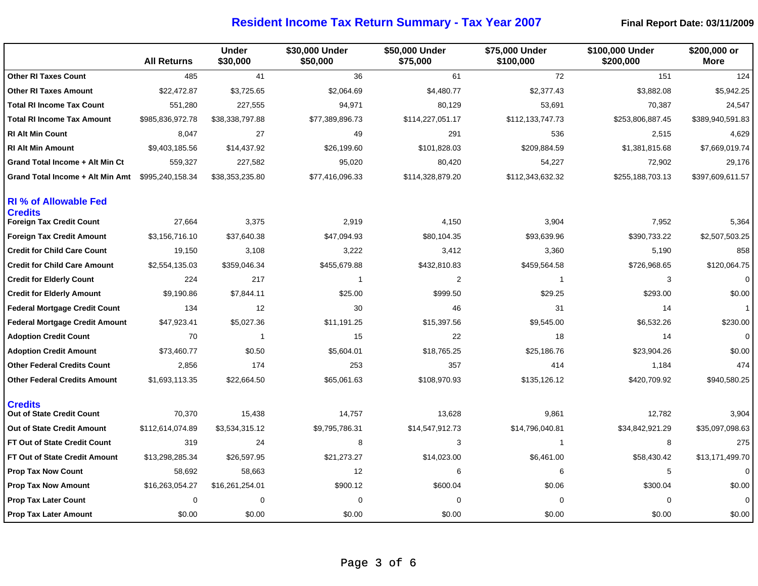|                                                                                   | <b>All Returns</b> | <b>Under</b><br>\$30,000 | \$30,000 Under<br>\$50,000 | \$50,000 Under<br>\$75,000 | \$75,000 Under<br>\$100,000 | \$100,000 Under<br>\$200,000 | \$200,000 or<br>More |
|-----------------------------------------------------------------------------------|--------------------|--------------------------|----------------------------|----------------------------|-----------------------------|------------------------------|----------------------|
| <b>Other RI Taxes Count</b>                                                       | 485                | 41                       | 36                         | 61                         | 72                          | 151                          | 124                  |
| <b>Other RI Taxes Amount</b>                                                      | \$22,472.87        | \$3,725.65               | \$2,064.69                 | \$4,480.77                 | \$2,377.43                  | \$3,882.08                   | \$5,942.25           |
| <b>Total RI Income Tax Count</b>                                                  | 551,280            | 227,555                  | 94,971                     | 80,129                     | 53,691                      | 70,387                       | 24,547               |
| <b>Total RI Income Tax Amount</b>                                                 | \$985,836,972.78   | \$38,338,797.88          | \$77,389,896.73            | \$114,227,051.17           | \$112,133,747.73            | \$253,806,887.45             | \$389,940,591.83     |
| <b>RI Alt Min Count</b>                                                           | 8,047              | 27                       | 49                         | 291                        | 536                         | 2,515                        | 4,629                |
| <b>RI Alt Min Amount</b>                                                          | \$9,403,185.56     | \$14,437.92              | \$26,199.60                | \$101,828.03               | \$209,884.59                | \$1,381,815.68               | \$7,669,019.74       |
| Grand Total Income + Alt Min Ct                                                   | 559,327            | 227,582                  | 95,020                     | 80,420                     | 54,227                      | 72,902                       | 29,176               |
| Grand Total Income + Alt Min Amt                                                  | \$995,240,158.34   | \$38,353,235.80          | \$77,416,096.33            | \$114,328,879.20           | \$112,343,632.32            | \$255,188,703.13             | \$397,609,611.57     |
| <b>RI % of Allowable Fed</b><br><b>Credits</b><br><b>Foreign Tax Credit Count</b> | 27,664             | 3,375                    | 2,919                      | 4,150                      | 3,904                       | 7,952                        | 5,364                |
| <b>Foreign Tax Credit Amount</b>                                                  | \$3,156,716.10     | \$37,640.38              | \$47,094.93                | \$80,104.35                | \$93,639.96                 | \$390,733.22                 | \$2,507,503.25       |
| <b>Credit for Child Care Count</b>                                                | 19,150             | 3,108                    | 3,222                      | 3,412                      | 3,360                       | 5,190                        | 858                  |
| <b>Credit for Child Care Amount</b>                                               | \$2,554,135.03     | \$359,046.34             | \$455,679.88               | \$432,810.83               | \$459,564.58                | \$726,968.65                 | \$120,064.75         |
| <b>Credit for Elderly Count</b>                                                   | 224                | 217                      | $\overline{1}$             | 2                          | -1                          | 3                            | $\Omega$             |
| <b>Credit for Elderly Amount</b>                                                  | \$9,190.86         | \$7,844.11               | \$25.00                    | \$999.50                   | \$29.25                     | \$293.00                     | \$0.00               |
| <b>Federal Mortgage Credit Count</b>                                              | 134                | 12                       | 30                         | 46                         | 31                          | 14                           | $\mathbf{1}$         |
| <b>Federal Mortgage Credit Amount</b>                                             | \$47,923.41        | \$5,027.36               | \$11,191.25                | \$15,397.56                | \$9,545.00                  | \$6,532.26                   | \$230.00             |
| <b>Adoption Credit Count</b>                                                      | 70                 | -1                       | 15                         | 22                         | 18                          | 14                           | $\mathbf 0$          |
| <b>Adoption Credit Amount</b>                                                     | \$73,460.77        | \$0.50                   | \$5,604.01                 | \$18,765.25                | \$25,186.76                 | \$23,904.26                  | \$0.00               |
| <b>Other Federal Credits Count</b>                                                | 2,856              | 174                      | 253                        | 357                        | 414                         | 1,184                        | 474                  |
| <b>Other Federal Credits Amount</b>                                               | \$1,693,113.35     | \$22,664.50              | \$65,061.63                | \$108,970.93               | \$135,126.12                | \$420,709.92                 | \$940,580.25         |
| <b>Credits</b><br>Out of State Credit Count                                       | 70,370             | 15,438                   | 14,757                     | 13,628                     | 9,861                       | 12,782                       | 3,904                |
| Out of State Credit Amount                                                        | \$112,614,074.89   | \$3,534,315.12           | \$9,795,786.31             | \$14,547,912.73            | \$14,796,040.81             | \$34,842,921.29              | \$35,097,098.63      |
| <b>FT Out of State Credit Count</b>                                               | 319                | 24                       | 8                          | 3                          | $\mathbf{1}$                | 8                            | 275                  |
| FT Out of State Credit Amount                                                     | \$13,298,285.34    | \$26,597.95              | \$21,273.27                | \$14,023.00                | \$6,461.00                  | \$58,430.42                  | \$13,171,499.70      |
| <b>Prop Tax Now Count</b>                                                         | 58,692             | 58,663                   | 12                         | 6                          | 6                           | 5                            | $\mathbf 0$          |
| <b>Prop Tax Now Amount</b>                                                        | \$16,263,054.27    | \$16,261,254.01          | \$900.12                   | \$600.04                   | \$0.06                      | \$300.04                     | \$0.00               |
| <b>Prop Tax Later Count</b>                                                       | $\mathbf 0$        | $\mathbf 0$              | 0                          | $\Omega$                   | $\Omega$                    | $\Omega$                     | $\mathbf 0$          |
| <b>Prop Tax Later Amount</b>                                                      | \$0.00             | \$0.00                   | \$0.00                     | \$0.00                     | \$0.00                      | \$0.00                       | \$0.00               |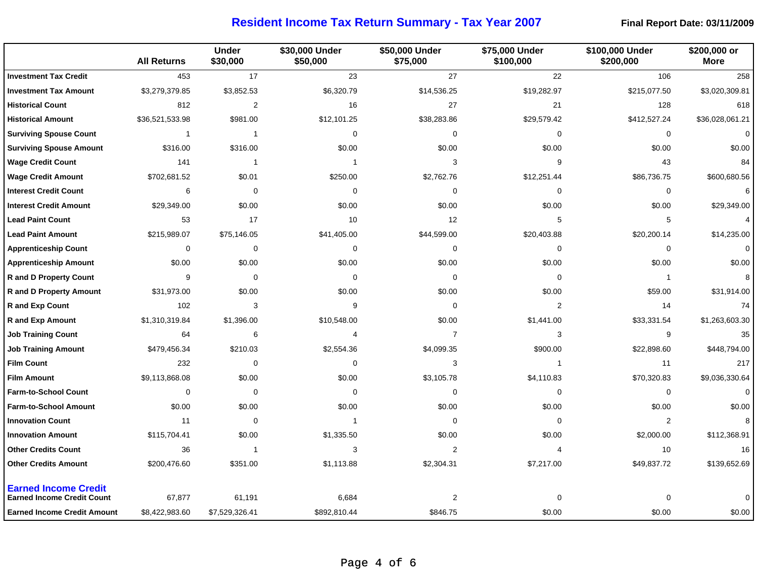|                                                                  | <b>All Returns</b> | <b>Under</b><br>\$30,000 | \$30,000 Under<br>\$50,000 | \$50,000 Under<br>\$75,000 | \$75,000 Under<br>\$100,000 | \$100,000 Under<br>\$200,000 | \$200,000 or<br><b>More</b> |
|------------------------------------------------------------------|--------------------|--------------------------|----------------------------|----------------------------|-----------------------------|------------------------------|-----------------------------|
| <b>Investment Tax Credit</b>                                     | 453                | 17                       | 23                         | 27                         | 22                          | 106                          | 258                         |
| <b>Investment Tax Amount</b>                                     | \$3,279,379.85     | \$3,852.53               | \$6,320.79                 | \$14,536.25                | \$19,282.97                 | \$215,077.50                 | \$3,020,309.81              |
| <b>Historical Count</b>                                          | 812                | $\overline{2}$           | 16                         | 27                         | 21                          | 128                          | 618                         |
| <b>Historical Amount</b>                                         | \$36,521,533.98    | \$981.00                 | \$12,101.25                | \$38,283.86                | \$29,579.42                 | \$412,527.24                 | \$36,028,061.21             |
| <b>Surviving Spouse Count</b>                                    | $\overline{1}$     | 1                        | 0                          | 0                          | $\mathbf 0$                 | 0                            | $\pmb{0}$                   |
| <b>Surviving Spouse Amount</b>                                   | \$316.00           | \$316.00                 | \$0.00                     | \$0.00                     | \$0.00                      | \$0.00                       | \$0.00                      |
| <b>Wage Credit Count</b>                                         | 141                | $\mathbf{1}$             | $\mathbf{1}$               | 3                          | 9                           | 43                           | 84                          |
| <b>Wage Credit Amount</b>                                        | \$702,681.52       | \$0.01                   | \$250.00                   | \$2,762.76                 | \$12,251.44                 | \$86,736.75                  | \$600,680.56                |
| <b>Interest Credit Count</b>                                     | 6                  | 0                        | $\Omega$                   | $\Omega$                   | $\Omega$                    | 0                            | 6                           |
| <b>Interest Credit Amount</b>                                    | \$29,349.00        | \$0.00                   | \$0.00                     | \$0.00                     | \$0.00                      | \$0.00                       | \$29,349.00                 |
| <b>Lead Paint Count</b>                                          | 53                 | 17                       | 10                         | 12                         | 5                           | 5                            | $\overline{4}$              |
| <b>Lead Paint Amount</b>                                         | \$215,989.07       | \$75,146.05              | \$41,405.00                | \$44,599.00                | \$20,403.88                 | \$20,200.14                  | \$14,235.00                 |
| <b>Apprenticeship Count</b>                                      | 0                  | 0                        | 0                          | 0                          | $\mathbf 0$                 | 0                            | $\mathbf 0$                 |
| <b>Apprenticeship Amount</b>                                     | \$0.00             | \$0.00                   | \$0.00                     | \$0.00                     | \$0.00                      | \$0.00                       | \$0.00                      |
| <b>R</b> and D Property Count                                    | 9                  | 0                        | $\mathbf 0$                | 0                          | $\mathbf 0$                 | $\mathbf{1}$                 | 8                           |
| <b>R</b> and D Property Amount                                   | \$31,973.00        | \$0.00                   | \$0.00                     | \$0.00                     | \$0.00                      | \$59.00                      | \$31,914.00                 |
| <b>R</b> and Exp Count                                           | 102                | 3                        | 9                          | $\mathbf 0$                | $\overline{2}$              | 14                           | 74                          |
| <b>R</b> and Exp Amount                                          | \$1,310,319.84     | \$1,396.00               | \$10,548.00                | \$0.00                     | \$1,441.00                  | \$33,331.54                  | \$1,263,603.30              |
| <b>Job Training Count</b>                                        | 64                 | 6                        | 4                          | $\overline{7}$             | 3                           | 9                            | 35                          |
| <b>Job Training Amount</b>                                       | \$479,456.34       | \$210.03                 | \$2,554.36                 | \$4,099.35                 | \$900.00                    | \$22,898.60                  | \$448,794.00                |
| <b>Film Count</b>                                                | 232                | 0                        | 0                          | 3                          | $\mathbf{1}$                | 11                           | 217                         |
| <b>Film Amount</b>                                               | \$9,113,868.08     | \$0.00                   | \$0.00                     | \$3,105.78                 | \$4,110.83                  | \$70,320.83                  | \$9,036,330.64              |
| <b>Farm-to-School Count</b>                                      | $\mathbf 0$        | 0                        | $\mathbf 0$                | 0                          | $\mathbf 0$                 | 0                            | $\mathbf 0$                 |
| <b>Farm-to-School Amount</b>                                     | \$0.00             | \$0.00                   | \$0.00                     | \$0.00                     | \$0.00                      | \$0.00                       | \$0.00                      |
| <b>Innovation Count</b>                                          | 11                 | 0                        | 1                          | $\mathbf 0$                | $\mathbf 0$                 | $\overline{2}$               | 8                           |
| <b>Innovation Amount</b>                                         | \$115,704.41       | \$0.00                   | \$1,335.50                 | \$0.00                     | \$0.00                      | \$2,000.00                   | \$112,368.91                |
| <b>Other Credits Count</b>                                       | 36                 | $\mathbf{1}$             | 3                          | $\overline{2}$             | $\overline{4}$              | 10                           | 16                          |
| <b>Other Credits Amount</b>                                      | \$200,476.60       | \$351.00                 | \$1,113.88                 | \$2,304.31                 | \$7,217.00                  | \$49,837.72                  | \$139,652.69                |
| <b>Earned Income Credit</b><br><b>Earned Income Credit Count</b> | 67,877             | 61,191                   | 6,684                      | 2                          | $\mathbf 0$                 | $\Omega$                     | $\mathbf 0$                 |
| <b>Earned Income Credit Amount</b>                               | \$8,422,983.60     | \$7,529,326.41           | \$892,810.44               | \$846.75                   | \$0.00                      | \$0.00                       | \$0.00                      |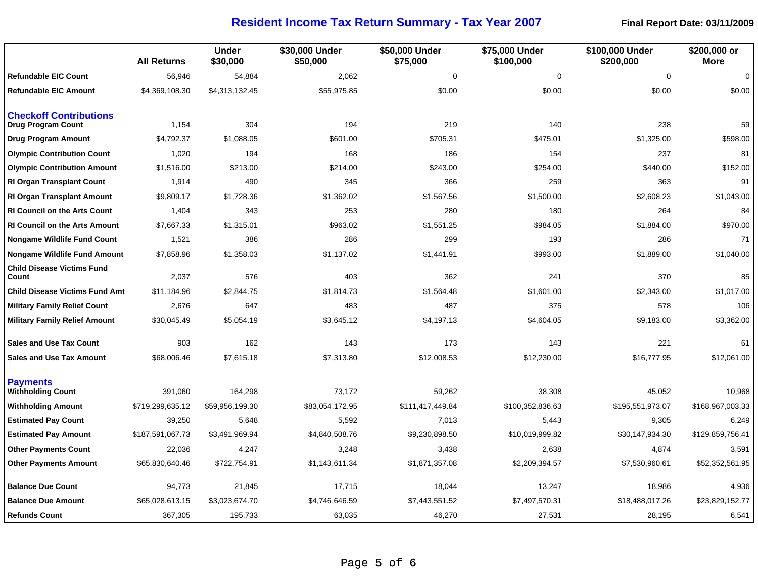|                                                     | <b>All Returns</b> | <b>Under</b><br>\$30,000 | \$30,000 Under<br>\$50,000 | \$50,000 Under<br>\$75,000 | \$75,000 Under<br>\$100,000 | \$100,000 Under<br>\$200,000 | \$200,000 or<br><b>More</b> |
|-----------------------------------------------------|--------------------|--------------------------|----------------------------|----------------------------|-----------------------------|------------------------------|-----------------------------|
| <b>Refundable EIC Count</b>                         | 56,946             | 54,884                   | 2,062                      | $\mathbf 0$                | $\mathbf 0$                 | $\mathbf 0$                  | $\mathbf 0$                 |
| <b>Refundable EIC Amount</b>                        | \$4,369,108.30     | \$4,313,132.45           | \$55,975.85                | \$0.00                     | \$0.00                      | \$0.00                       | \$0.00                      |
| <b>Checkoff Contributions</b><br>Drug Program Count | 1,154              | 304                      | 194                        | 219                        | 140                         | 238                          | 59                          |
| <b>Drug Program Amount</b>                          | \$4,792.37         | \$1,088.05               | \$601.00                   | \$705.31                   | \$475.01                    | \$1,325.00                   | \$598.00                    |
| <b>Olympic Contribution Count</b>                   | 1,020              | 194                      | 168                        | 186                        | 154                         | 237                          | 81                          |
| <b>Olympic Contribution Amount</b>                  | \$1,516.00         | \$213.00                 | \$214.00                   | \$243.00                   | \$254.00                    | \$440.00                     | \$152.00                    |
| <b>RI Organ Transplant Count</b>                    | 1,914              | 490                      | 345                        | 366                        | 259                         | 363                          | 91                          |
| <b>RI Organ Transplant Amount</b>                   | \$9,809.17         | \$1,728.36               | \$1,362.02                 | \$1,567.56                 | \$1,500.00                  | \$2,608.23                   | \$1,043.00                  |
| <b>RI Council on the Arts Count</b>                 | 1,404              | 343                      | 253                        | 280                        | 180                         | 264                          | 84                          |
| <b>RI Council on the Arts Amount</b>                | \$7,667.33         | \$1,315.01               | \$963.02                   | \$1,551.25                 | \$984.05                    | \$1,884.00                   | \$970.00                    |
| <b>Nongame Wildlife Fund Count</b>                  | 1,521              | 386                      | 286                        | 299                        | 193                         | 286                          | 71                          |
| <b>Nongame Wildlife Fund Amount</b>                 | \$7,858.96         | \$1,358.03               | \$1,137.02                 | \$1,441.91                 | \$993.00                    | \$1,889.00                   | \$1,040.00                  |
| <b>Child Disease Victims Fund</b><br>Count          | 2,037              | 576                      | 403                        | 362                        | 241                         | 370                          | 85                          |
| <b>Child Disease Victims Fund Amt</b>               | \$11,184.96        | \$2,844.75               | \$1,814.73                 | \$1,564.48                 | \$1,601.00                  | \$2,343.00                   | \$1,017.00                  |
| <b>Military Family Relief Count</b>                 | 2,676              | 647                      | 483                        | 487                        | 375                         | 578                          | 106                         |
| Military Family Relief Amount                       | \$30,045.49        | \$5,054.19               | \$3,645.12                 | \$4,197.13                 | \$4,604.05                  | \$9,183.00                   | \$3,362.00                  |
| <b>Sales and Use Tax Count</b>                      | 903                | 162                      | 143                        | 173                        | 143                         | 221                          | 61                          |
| <b>Sales and Use Tax Amount</b>                     | \$68,006.46        | \$7,615.18               | \$7,313.80                 | \$12,008.53                | \$12,230.00                 | \$16,777.95                  | \$12,061.00                 |
| <b>Payments</b><br><b>Withholding Count</b>         | 391,060            | 164,298                  | 73,172                     | 59,262                     | 38,308                      | 45,052                       | 10,968                      |
| <b>Withholding Amount</b>                           | \$719,299,635.12   | \$59,956,199.30          | \$83,054,172.95            | \$111,417,449.84           | \$100,352,836.63            | \$195,551,973.07             | \$168,967,003.33            |
| <b>Estimated Pay Count</b>                          | 39,250             | 5,648                    | 5,592                      | 7,013                      | 5,443                       | 9,305                        | 6,249                       |
| <b>Estimated Pay Amount</b>                         | \$187,591,067.73   | \$3,491,969.94           | \$4,840,508.76             | \$9,230,898.50             | \$10,019,999.82             | \$30,147,934.30              | \$129,859,756.41            |
| <b>Other Payments Count</b>                         | 22,036             | 4,247                    | 3,248                      | 3,438                      | 2,638                       | 4,874                        | 3,591                       |
| <b>Other Payments Amount</b>                        | \$65,830,640.46    | \$722,754.91             | \$1,143,611.34             | \$1,871,357.08             | \$2,209,394.57              | \$7,530,960.61               | \$52,352,561.95             |
| <b>Balance Due Count</b>                            | 94,773             | 21,845                   | 17,715                     | 18,044                     | 13,247                      | 18,986                       | 4,936                       |
| <b>Balance Due Amount</b>                           | \$65,028,613.15    | \$3,023,674.70           | \$4,746,646.59             | \$7,443,551.52             | \$7,497,570.31              | \$18,488,017.26              | \$23,829,152.77             |
| <b>Refunds Count</b>                                | 367,305            | 195,733                  | 63,035                     | 46,270                     | 27,531                      | 28,195                       | 6,541                       |